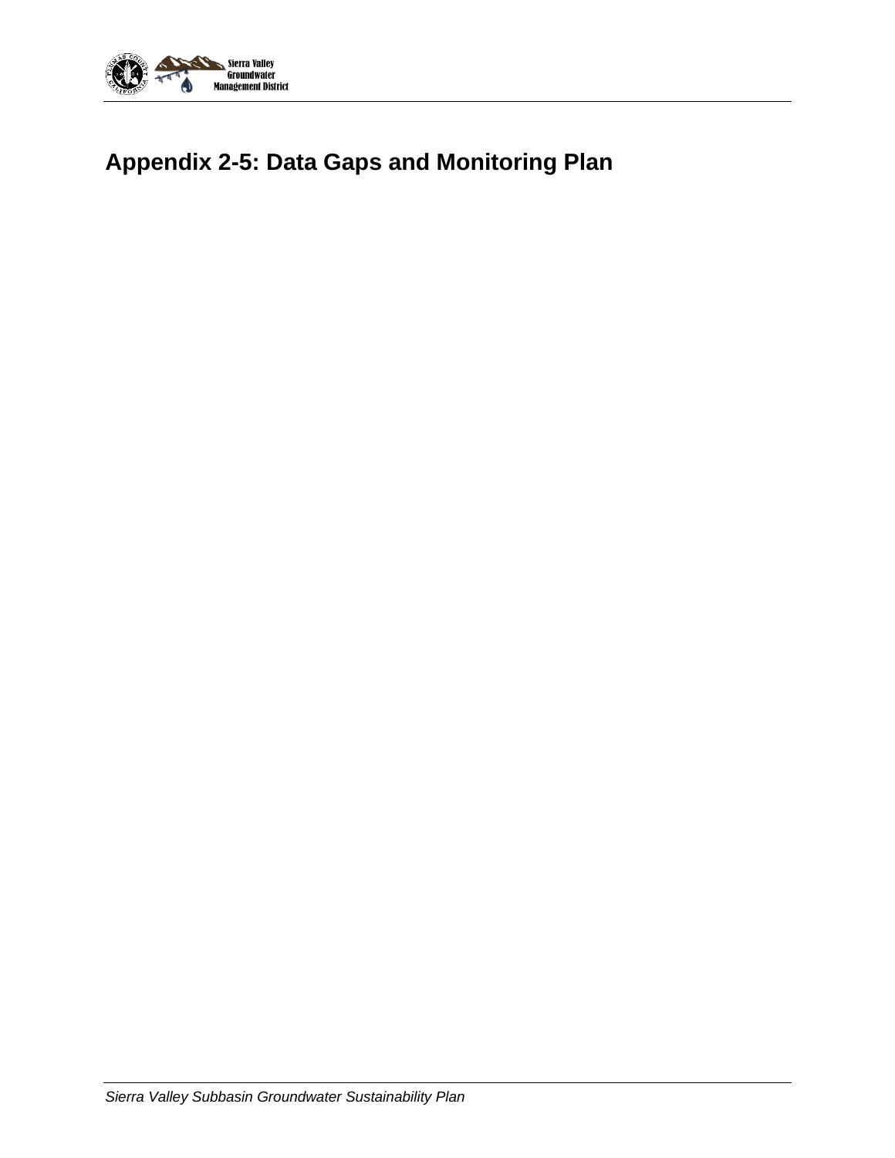

## **Appendix 2-5: Data Gaps and Monitoring Plan**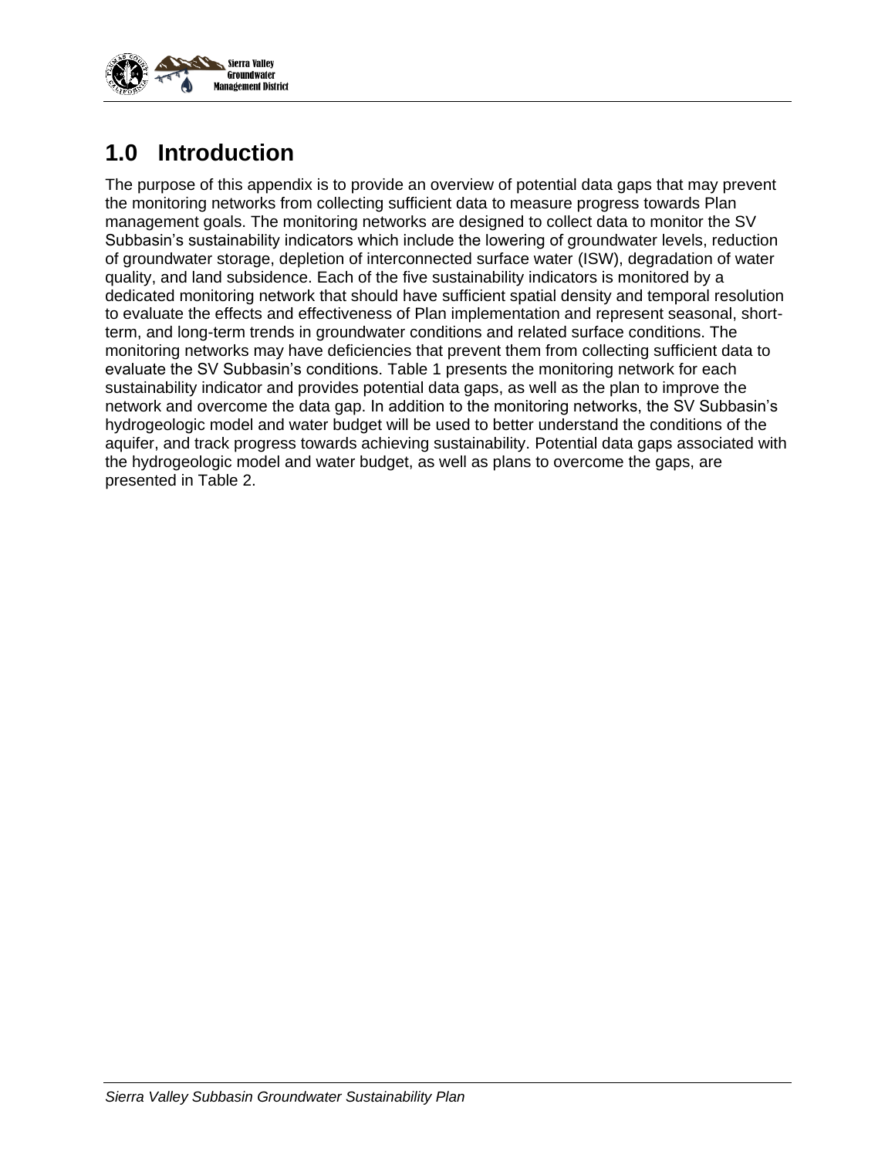

## **1.0 Introduction**

The purpose of this appendix is to provide an overview of potential data gaps that may prevent the monitoring networks from collecting sufficient data to measure progress towards Plan management goals. The monitoring networks are designed to collect data to monitor the SV Subbasin's sustainability indicators which include the lowering of groundwater levels, reduction of groundwater storage, depletion of interconnected surface water (ISW), degradation of water quality, and land subsidence. Each of the five sustainability indicators is monitored by a dedicated monitoring network that should have sufficient spatial density and temporal resolution to evaluate the effects and effectiveness of Plan implementation and represent seasonal, shortterm, and long-term trends in groundwater conditions and related surface conditions. The monitoring networks may have deficiencies that prevent them from collecting sufficient data to evaluate the SV Subbasin's conditions. Table 1 presents the monitoring network for each sustainability indicator and provides potential data gaps, as well as the plan to improve the network and overcome the data gap. In addition to the monitoring networks, the SV Subbasin's hydrogeologic model and water budget will be used to better understand the conditions of the aquifer, and track progress towards achieving sustainability. Potential data gaps associated with the hydrogeologic model and water budget, as well as plans to overcome the gaps, are presented in Table 2.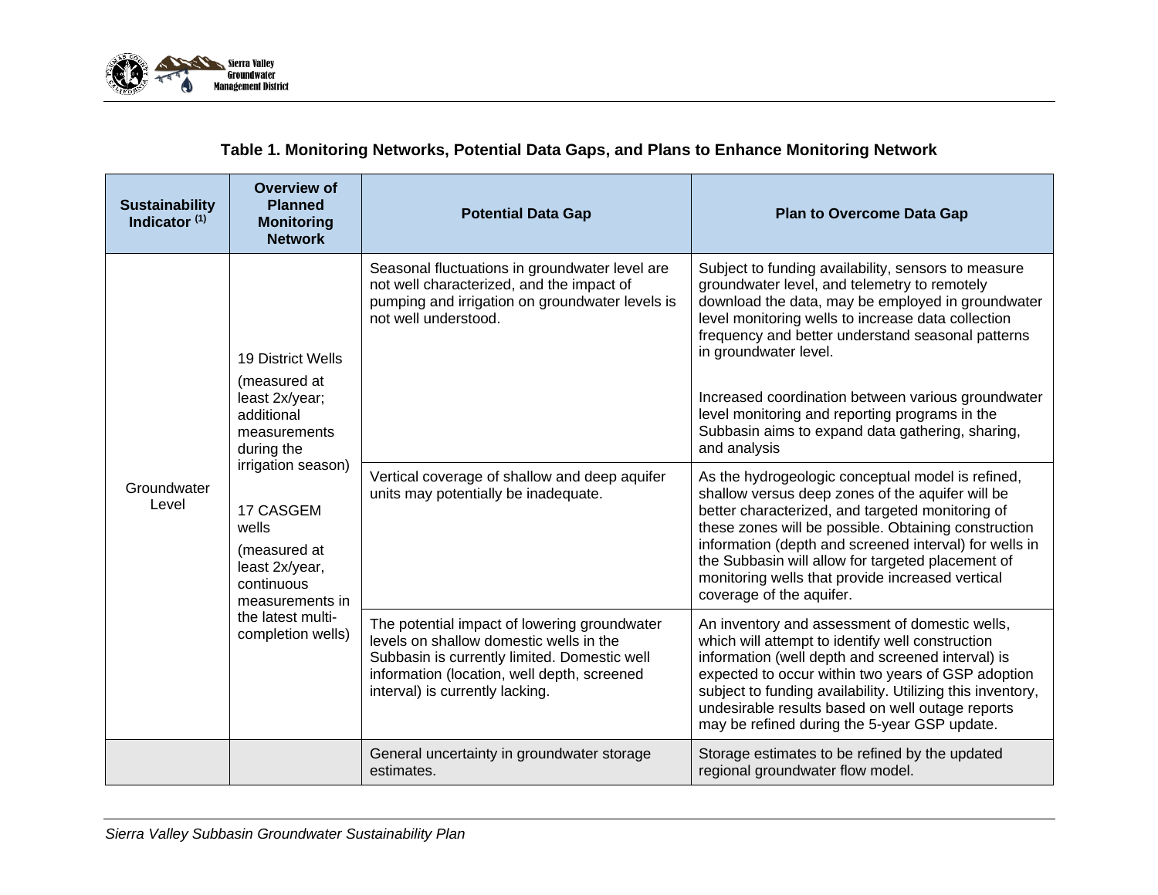

## **Table 1. Monitoring Networks, Potential Data Gaps, and Plans to Enhance Monitoring Network**

| <b>Sustainability</b><br>Indicator $(1)$ | <b>Overview of</b><br><b>Planned</b><br><b>Monitoring</b><br><b>Network</b>                                                                                                                                                                              | <b>Potential Data Gap</b>                                                                                                                                                                                                 | <b>Plan to Overcome Data Gap</b>                                                                                                                                                                                                                                                                                                                                                                                                                         |
|------------------------------------------|----------------------------------------------------------------------------------------------------------------------------------------------------------------------------------------------------------------------------------------------------------|---------------------------------------------------------------------------------------------------------------------------------------------------------------------------------------------------------------------------|----------------------------------------------------------------------------------------------------------------------------------------------------------------------------------------------------------------------------------------------------------------------------------------------------------------------------------------------------------------------------------------------------------------------------------------------------------|
| Groundwater<br>Level                     | 19 District Wells<br>(measured at<br>least 2x/year;<br>additional<br>measurements<br>during the<br>irrigation season)<br>17 CASGEM<br>wells<br>(measured at<br>least 2x/year,<br>continuous<br>measurements in<br>the latest multi-<br>completion wells) | Seasonal fluctuations in groundwater level are<br>not well characterized, and the impact of<br>pumping and irrigation on groundwater levels is<br>not well understood.                                                    | Subject to funding availability, sensors to measure<br>groundwater level, and telemetry to remotely<br>download the data, may be employed in groundwater<br>level monitoring wells to increase data collection<br>frequency and better understand seasonal patterns<br>in groundwater level.<br>Increased coordination between various groundwater<br>level monitoring and reporting programs in the<br>Subbasin aims to expand data gathering, sharing, |
|                                          |                                                                                                                                                                                                                                                          | Vertical coverage of shallow and deep aquifer<br>units may potentially be inadequate.                                                                                                                                     | and analysis<br>As the hydrogeologic conceptual model is refined,<br>shallow versus deep zones of the aquifer will be<br>better characterized, and targeted monitoring of<br>these zones will be possible. Obtaining construction<br>information (depth and screened interval) for wells in<br>the Subbasin will allow for targeted placement of<br>monitoring wells that provide increased vertical<br>coverage of the aquifer.                         |
|                                          |                                                                                                                                                                                                                                                          | The potential impact of lowering groundwater<br>levels on shallow domestic wells in the<br>Subbasin is currently limited. Domestic well<br>information (location, well depth, screened<br>interval) is currently lacking. | An inventory and assessment of domestic wells,<br>which will attempt to identify well construction<br>information (well depth and screened interval) is<br>expected to occur within two years of GSP adoption<br>subject to funding availability. Utilizing this inventory,<br>undesirable results based on well outage reports<br>may be refined during the 5-year GSP update.                                                                          |
|                                          |                                                                                                                                                                                                                                                          | General uncertainty in groundwater storage<br>estimates.                                                                                                                                                                  | Storage estimates to be refined by the updated<br>regional groundwater flow model.                                                                                                                                                                                                                                                                                                                                                                       |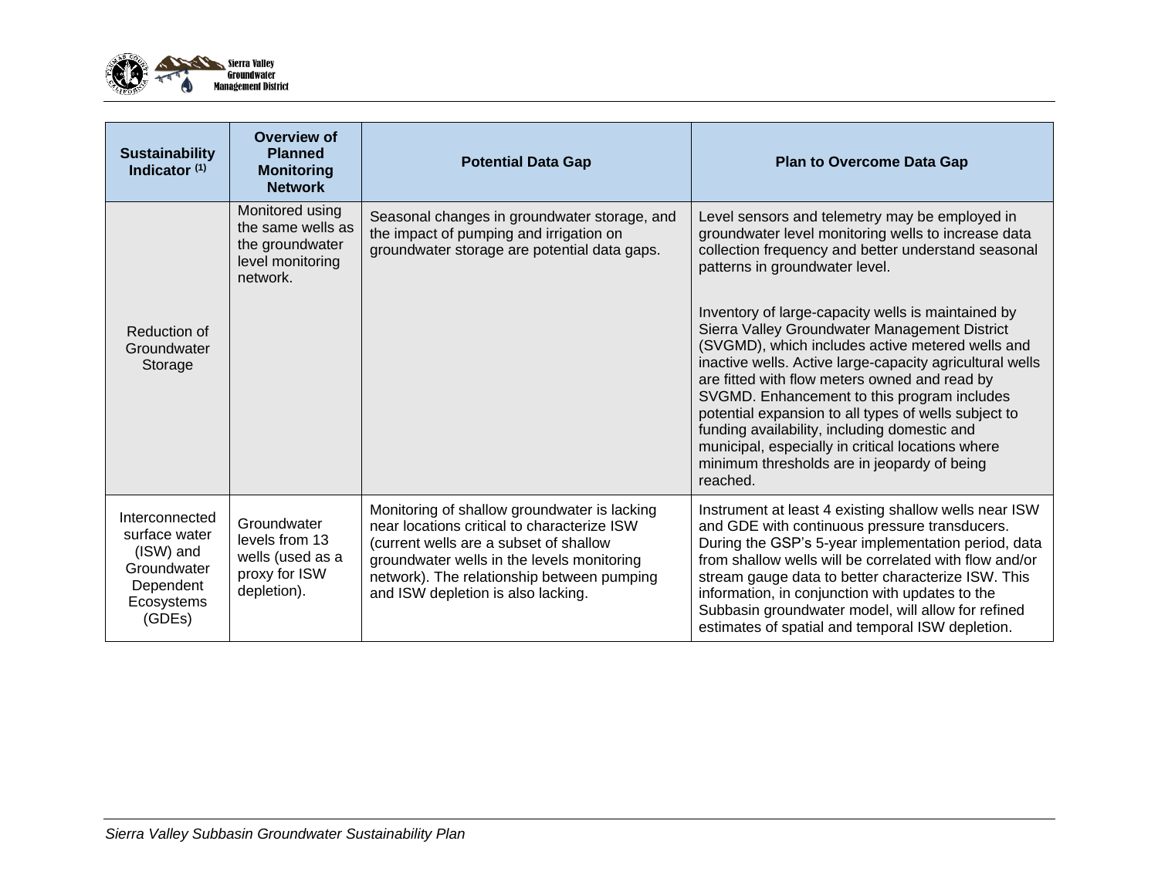

| <b>Sustainability</b><br>Indicator <sup>(1)</sup>                                                | Overview of<br><b>Planned</b><br><b>Monitoring</b><br><b>Network</b>                    | <b>Potential Data Gap</b>                                                                                                                                                                                                                                               | <b>Plan to Overcome Data Gap</b>                                                                                                                                                                                                                                                                                                                                                                                                                                                                                                            |
|--------------------------------------------------------------------------------------------------|-----------------------------------------------------------------------------------------|-------------------------------------------------------------------------------------------------------------------------------------------------------------------------------------------------------------------------------------------------------------------------|---------------------------------------------------------------------------------------------------------------------------------------------------------------------------------------------------------------------------------------------------------------------------------------------------------------------------------------------------------------------------------------------------------------------------------------------------------------------------------------------------------------------------------------------|
|                                                                                                  | Monitored using<br>the same wells as<br>the groundwater<br>level monitoring<br>network. | Seasonal changes in groundwater storage, and<br>the impact of pumping and irrigation on<br>groundwater storage are potential data gaps.                                                                                                                                 | Level sensors and telemetry may be employed in<br>groundwater level monitoring wells to increase data<br>collection frequency and better understand seasonal<br>patterns in groundwater level.                                                                                                                                                                                                                                                                                                                                              |
| Reduction of<br>Groundwater<br>Storage                                                           |                                                                                         |                                                                                                                                                                                                                                                                         | Inventory of large-capacity wells is maintained by<br>Sierra Valley Groundwater Management District<br>(SVGMD), which includes active metered wells and<br>inactive wells. Active large-capacity agricultural wells<br>are fitted with flow meters owned and read by<br>SVGMD. Enhancement to this program includes<br>potential expansion to all types of wells subject to<br>funding availability, including domestic and<br>municipal, especially in critical locations where<br>minimum thresholds are in jeopardy of being<br>reached. |
| Interconnected<br>surface water<br>(ISW) and<br>Groundwater<br>Dependent<br>Ecosystems<br>(GDEs) | Groundwater<br>levels from 13<br>wells (used as a<br>proxy for ISW<br>depletion).       | Monitoring of shallow groundwater is lacking<br>near locations critical to characterize ISW<br>(current wells are a subset of shallow<br>groundwater wells in the levels monitoring<br>network). The relationship between pumping<br>and ISW depletion is also lacking. | Instrument at least 4 existing shallow wells near ISW<br>and GDE with continuous pressure transducers.<br>During the GSP's 5-year implementation period, data<br>from shallow wells will be correlated with flow and/or<br>stream gauge data to better characterize ISW. This<br>information, in conjunction with updates to the<br>Subbasin groundwater model, will allow for refined<br>estimates of spatial and temporal ISW depletion.                                                                                                  |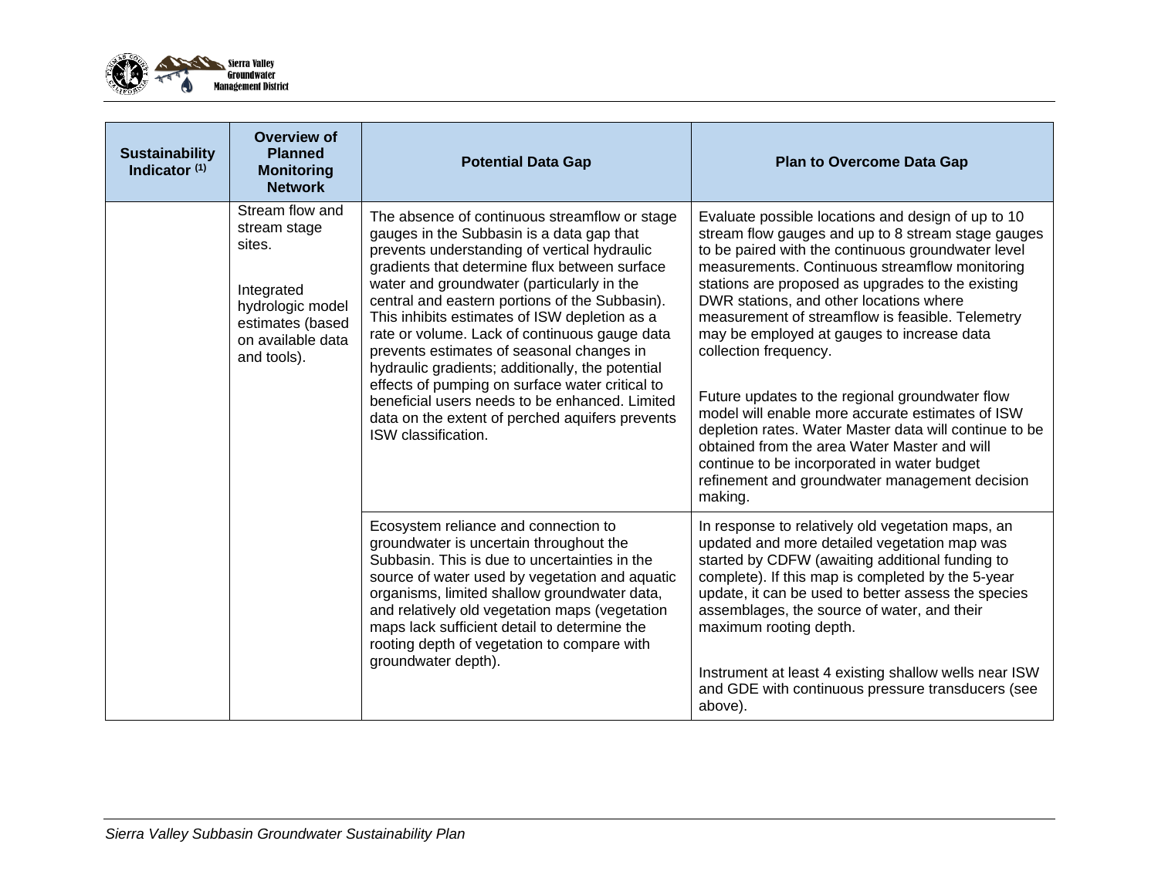

| <b>Sustainability</b><br>Indicator $(1)$ | Overview of<br><b>Planned</b><br><b>Monitoring</b><br><b>Network</b>                                                                                                                                                                                                                                                                                                                                                                                                                                                                                                                                                                                                                                                                                                                                                 | <b>Potential Data Gap</b>                                                                                                                                                                                                                                                                                                                                                                                                                                                                                                                                                                                                                                                                                                                                                | <b>Plan to Overcome Data Gap</b>                                                                                                                                                                                                                                                                                                                                                                                                                                   |
|------------------------------------------|----------------------------------------------------------------------------------------------------------------------------------------------------------------------------------------------------------------------------------------------------------------------------------------------------------------------------------------------------------------------------------------------------------------------------------------------------------------------------------------------------------------------------------------------------------------------------------------------------------------------------------------------------------------------------------------------------------------------------------------------------------------------------------------------------------------------|--------------------------------------------------------------------------------------------------------------------------------------------------------------------------------------------------------------------------------------------------------------------------------------------------------------------------------------------------------------------------------------------------------------------------------------------------------------------------------------------------------------------------------------------------------------------------------------------------------------------------------------------------------------------------------------------------------------------------------------------------------------------------|--------------------------------------------------------------------------------------------------------------------------------------------------------------------------------------------------------------------------------------------------------------------------------------------------------------------------------------------------------------------------------------------------------------------------------------------------------------------|
|                                          | Stream flow and<br>The absence of continuous streamflow or stage<br>stream stage<br>gauges in the Subbasin is a data gap that<br>sites.<br>prevents understanding of vertical hydraulic<br>gradients that determine flux between surface<br>water and groundwater (particularly in the<br>Integrated<br>central and eastern portions of the Subbasin).<br>hydrologic model<br>This inhibits estimates of ISW depletion as a<br>estimates (based<br>rate or volume. Lack of continuous gauge data<br>on available data<br>prevents estimates of seasonal changes in<br>and tools).<br>hydraulic gradients; additionally, the potential<br>effects of pumping on surface water critical to<br>beneficial users needs to be enhanced. Limited<br>data on the extent of perched aquifers prevents<br>ISW classification. | Evaluate possible locations and design of up to 10<br>stream flow gauges and up to 8 stream stage gauges<br>to be paired with the continuous groundwater level<br>measurements. Continuous streamflow monitoring<br>stations are proposed as upgrades to the existing<br>DWR stations, and other locations where<br>measurement of streamflow is feasible. Telemetry<br>may be employed at gauges to increase data<br>collection frequency.<br>Future updates to the regional groundwater flow<br>model will enable more accurate estimates of ISW<br>depletion rates. Water Master data will continue to be<br>obtained from the area Water Master and will<br>continue to be incorporated in water budget<br>refinement and groundwater management decision<br>making. |                                                                                                                                                                                                                                                                                                                                                                                                                                                                    |
|                                          |                                                                                                                                                                                                                                                                                                                                                                                                                                                                                                                                                                                                                                                                                                                                                                                                                      | Ecosystem reliance and connection to<br>groundwater is uncertain throughout the<br>Subbasin. This is due to uncertainties in the<br>source of water used by vegetation and aquatic<br>organisms, limited shallow groundwater data,<br>and relatively old vegetation maps (vegetation<br>maps lack sufficient detail to determine the<br>rooting depth of vegetation to compare with<br>groundwater depth).                                                                                                                                                                                                                                                                                                                                                               | In response to relatively old vegetation maps, an<br>updated and more detailed vegetation map was<br>started by CDFW (awaiting additional funding to<br>complete). If this map is completed by the 5-year<br>update, it can be used to better assess the species<br>assemblages, the source of water, and their<br>maximum rooting depth.<br>Instrument at least 4 existing shallow wells near ISW<br>and GDE with continuous pressure transducers (see<br>above). |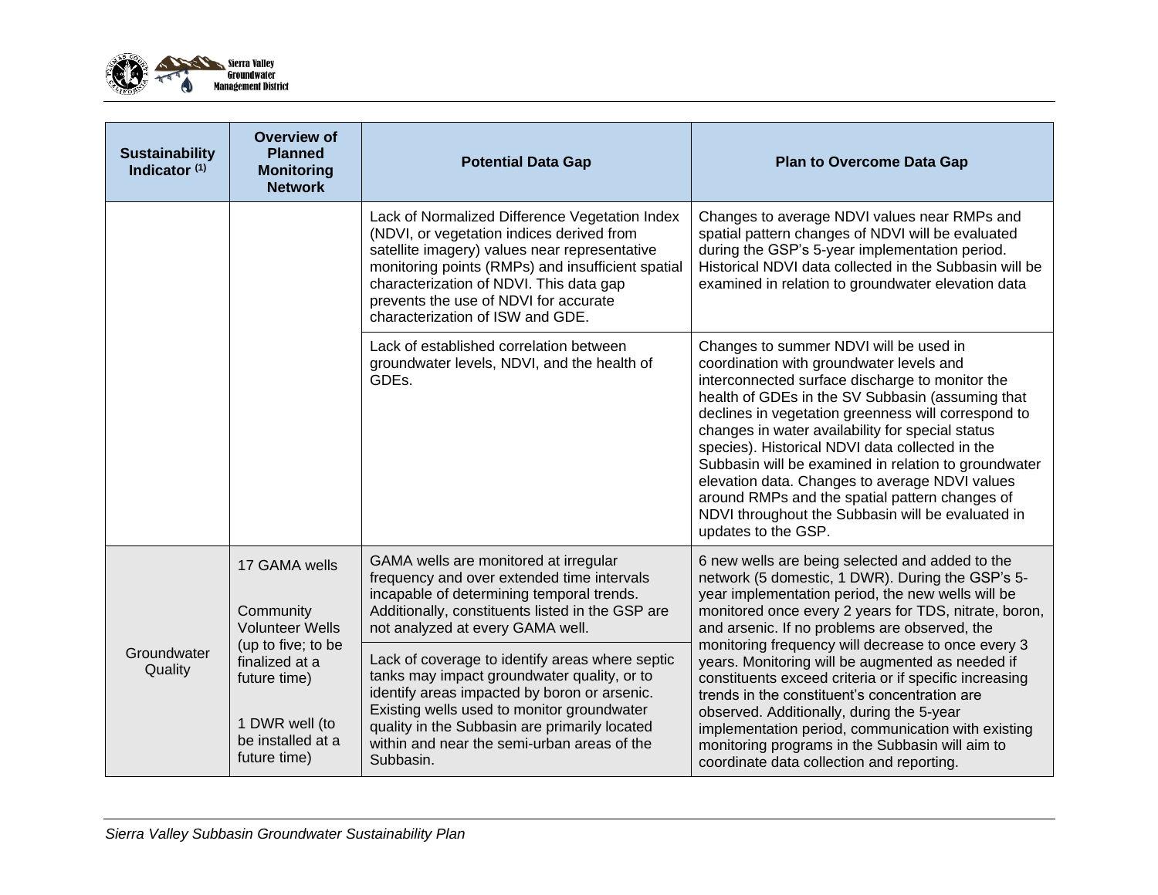

| <b>Sustainability</b><br>Indicator $(1)$ | Overview of<br><b>Planned</b><br><b>Monitoring</b><br><b>Network</b>                                                                                                | <b>Potential Data Gap</b>                                                                                                                                                                                                                                                                                                                                                                                                                                                                                                             | <b>Plan to Overcome Data Gap</b>                                                                                                                                                                                                                                                                                                                                                                                                                                                                                                                                                                                                                                                           |
|------------------------------------------|---------------------------------------------------------------------------------------------------------------------------------------------------------------------|---------------------------------------------------------------------------------------------------------------------------------------------------------------------------------------------------------------------------------------------------------------------------------------------------------------------------------------------------------------------------------------------------------------------------------------------------------------------------------------------------------------------------------------|--------------------------------------------------------------------------------------------------------------------------------------------------------------------------------------------------------------------------------------------------------------------------------------------------------------------------------------------------------------------------------------------------------------------------------------------------------------------------------------------------------------------------------------------------------------------------------------------------------------------------------------------------------------------------------------------|
|                                          |                                                                                                                                                                     | Lack of Normalized Difference Vegetation Index<br>(NDVI, or vegetation indices derived from<br>satellite imagery) values near representative<br>monitoring points (RMPs) and insufficient spatial<br>characterization of NDVI. This data gap<br>prevents the use of NDVI for accurate<br>characterization of ISW and GDE.                                                                                                                                                                                                             | Changes to average NDVI values near RMPs and<br>spatial pattern changes of NDVI will be evaluated<br>during the GSP's 5-year implementation period.<br>Historical NDVI data collected in the Subbasin will be<br>examined in relation to groundwater elevation data                                                                                                                                                                                                                                                                                                                                                                                                                        |
|                                          |                                                                                                                                                                     | Lack of established correlation between<br>groundwater levels, NDVI, and the health of<br>GDE <sub>s.</sub>                                                                                                                                                                                                                                                                                                                                                                                                                           | Changes to summer NDVI will be used in<br>coordination with groundwater levels and<br>interconnected surface discharge to monitor the<br>health of GDEs in the SV Subbasin (assuming that<br>declines in vegetation greenness will correspond to<br>changes in water availability for special status<br>species). Historical NDVI data collected in the<br>Subbasin will be examined in relation to groundwater<br>elevation data. Changes to average NDVI values<br>around RMPs and the spatial pattern changes of<br>NDVI throughout the Subbasin will be evaluated in<br>updates to the GSP.                                                                                            |
| Groundwater<br>Quality                   | 17 GAMA wells<br>Community<br><b>Volunteer Wells</b><br>(up to five; to be<br>finalized at a<br>future time)<br>1 DWR well (to<br>be installed at a<br>future time) | GAMA wells are monitored at irregular<br>frequency and over extended time intervals<br>incapable of determining temporal trends.<br>Additionally, constituents listed in the GSP are<br>not analyzed at every GAMA well.<br>Lack of coverage to identify areas where septic<br>tanks may impact groundwater quality, or to<br>identify areas impacted by boron or arsenic.<br>Existing wells used to monitor groundwater<br>quality in the Subbasin are primarily located<br>within and near the semi-urban areas of the<br>Subbasin. | 6 new wells are being selected and added to the<br>network (5 domestic, 1 DWR). During the GSP's 5-<br>year implementation period, the new wells will be<br>monitored once every 2 years for TDS, nitrate, boron,<br>and arsenic. If no problems are observed, the<br>monitoring frequency will decrease to once every 3<br>years. Monitoring will be augmented as needed if<br>constituents exceed criteria or if specific increasing<br>trends in the constituent's concentration are<br>observed. Additionally, during the 5-year<br>implementation period, communication with existing<br>monitoring programs in the Subbasin will aim to<br>coordinate data collection and reporting. |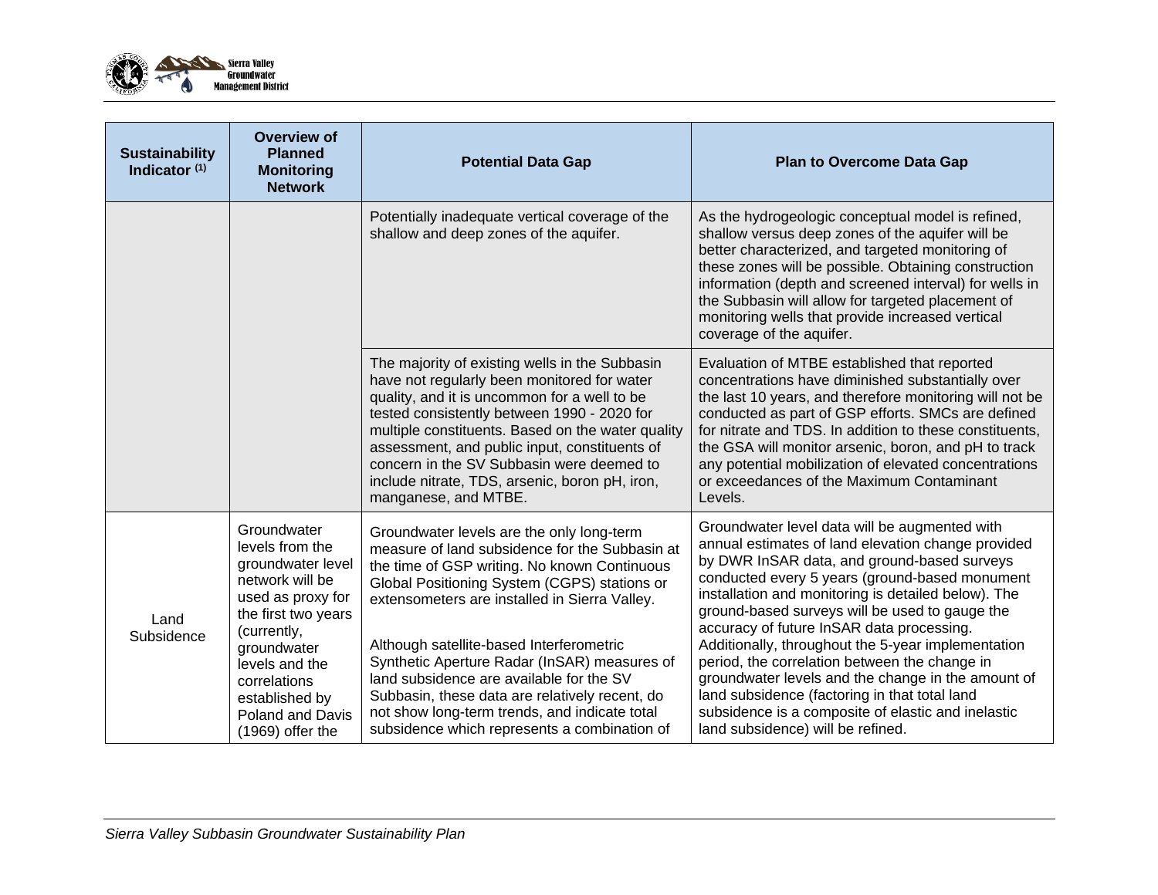

| <b>Sustainability</b><br>Indicator $(1)$ | Overview of<br><b>Planned</b><br><b>Monitoring</b><br><b>Network</b>                                                                                                                                                                                  | <b>Potential Data Gap</b>                                                                                                                                                                                                                                                                                                                                                                                                                                                                                                               | <b>Plan to Overcome Data Gap</b>                                                                                                                                                                                                                                                                                                                                                                                                                                                                                                                                                                                                                                    |
|------------------------------------------|-------------------------------------------------------------------------------------------------------------------------------------------------------------------------------------------------------------------------------------------------------|-----------------------------------------------------------------------------------------------------------------------------------------------------------------------------------------------------------------------------------------------------------------------------------------------------------------------------------------------------------------------------------------------------------------------------------------------------------------------------------------------------------------------------------------|---------------------------------------------------------------------------------------------------------------------------------------------------------------------------------------------------------------------------------------------------------------------------------------------------------------------------------------------------------------------------------------------------------------------------------------------------------------------------------------------------------------------------------------------------------------------------------------------------------------------------------------------------------------------|
|                                          |                                                                                                                                                                                                                                                       | Potentially inadequate vertical coverage of the<br>shallow and deep zones of the aquifer.                                                                                                                                                                                                                                                                                                                                                                                                                                               | As the hydrogeologic conceptual model is refined,<br>shallow versus deep zones of the aquifer will be<br>better characterized, and targeted monitoring of<br>these zones will be possible. Obtaining construction<br>information (depth and screened interval) for wells in<br>the Subbasin will allow for targeted placement of<br>monitoring wells that provide increased vertical<br>coverage of the aquifer.                                                                                                                                                                                                                                                    |
|                                          |                                                                                                                                                                                                                                                       | The majority of existing wells in the Subbasin<br>have not regularly been monitored for water<br>quality, and it is uncommon for a well to be<br>tested consistently between 1990 - 2020 for<br>multiple constituents. Based on the water quality<br>assessment, and public input, constituents of<br>concern in the SV Subbasin were deemed to<br>include nitrate, TDS, arsenic, boron pH, iron,<br>manganese, and MTBE.                                                                                                               | Evaluation of MTBE established that reported<br>concentrations have diminished substantially over<br>the last 10 years, and therefore monitoring will not be<br>conducted as part of GSP efforts. SMCs are defined<br>for nitrate and TDS. In addition to these constituents,<br>the GSA will monitor arsenic, boron, and pH to track<br>any potential mobilization of elevated concentrations<br>or exceedances of the Maximum Contaminant<br>Levels.                                                                                                                                                                                                              |
| Land<br>Subsidence                       | Groundwater<br>levels from the<br>groundwater level<br>network will be<br>used as proxy for<br>the first two years<br>(currently,<br>groundwater<br>levels and the<br>correlations<br>established by<br><b>Poland and Davis</b><br>$(1969)$ offer the | Groundwater levels are the only long-term<br>measure of land subsidence for the Subbasin at<br>the time of GSP writing. No known Continuous<br>Global Positioning System (CGPS) stations or<br>extensometers are installed in Sierra Valley.<br>Although satellite-based Interferometric<br>Synthetic Aperture Radar (InSAR) measures of<br>land subsidence are available for the SV<br>Subbasin, these data are relatively recent, do<br>not show long-term trends, and indicate total<br>subsidence which represents a combination of | Groundwater level data will be augmented with<br>annual estimates of land elevation change provided<br>by DWR InSAR data, and ground-based surveys<br>conducted every 5 years (ground-based monument<br>installation and monitoring is detailed below). The<br>ground-based surveys will be used to gauge the<br>accuracy of future InSAR data processing.<br>Additionally, throughout the 5-year implementation<br>period, the correlation between the change in<br>groundwater levels and the change in the amount of<br>land subsidence (factoring in that total land<br>subsidence is a composite of elastic and inelastic<br>land subsidence) will be refined. |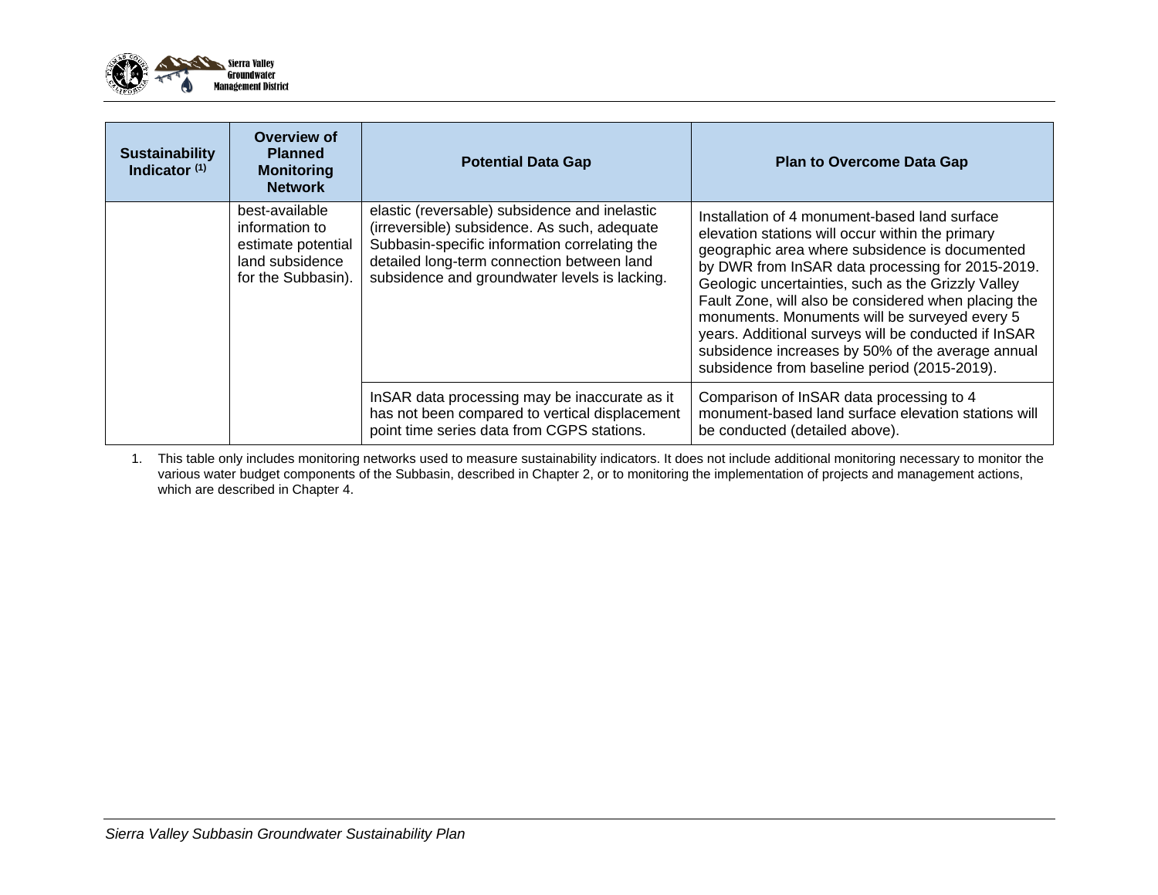

| <b>Sustainability</b><br>Indicator $(1)$ | Overview of<br><b>Planned</b><br><b>Monitoring</b><br><b>Network</b>                            | <b>Potential Data Gap</b>                                                                                                                                                                                                                     | <b>Plan to Overcome Data Gap</b>                                                                                                                                                                                                                                                                                                                                                                                                                                                                                                    |
|------------------------------------------|-------------------------------------------------------------------------------------------------|-----------------------------------------------------------------------------------------------------------------------------------------------------------------------------------------------------------------------------------------------|-------------------------------------------------------------------------------------------------------------------------------------------------------------------------------------------------------------------------------------------------------------------------------------------------------------------------------------------------------------------------------------------------------------------------------------------------------------------------------------------------------------------------------------|
|                                          | best-available<br>information to<br>estimate potential<br>land subsidence<br>for the Subbasin). | elastic (reversable) subsidence and inelastic<br>(irreversible) subsidence. As such, adequate<br>Subbasin-specific information correlating the<br>detailed long-term connection between land<br>subsidence and groundwater levels is lacking. | Installation of 4 monument-based land surface<br>elevation stations will occur within the primary<br>geographic area where subsidence is documented<br>by DWR from InSAR data processing for 2015-2019.<br>Geologic uncertainties, such as the Grizzly Valley<br>Fault Zone, will also be considered when placing the<br>monuments. Monuments will be surveyed every 5<br>years. Additional surveys will be conducted if InSAR<br>subsidence increases by 50% of the average annual<br>subsidence from baseline period (2015-2019). |
|                                          |                                                                                                 | InSAR data processing may be inaccurate as it<br>has not been compared to vertical displacement<br>point time series data from CGPS stations.                                                                                                 | Comparison of InSAR data processing to 4<br>monument-based land surface elevation stations will<br>be conducted (detailed above).                                                                                                                                                                                                                                                                                                                                                                                                   |

1. This table only includes monitoring networks used to measure sustainability indicators. It does not include additional monitoring necessary to monitor the various water budget components of the Subbasin, described in Chapter 2, or to monitoring the implementation of projects and management actions, which are described in Chapter 4.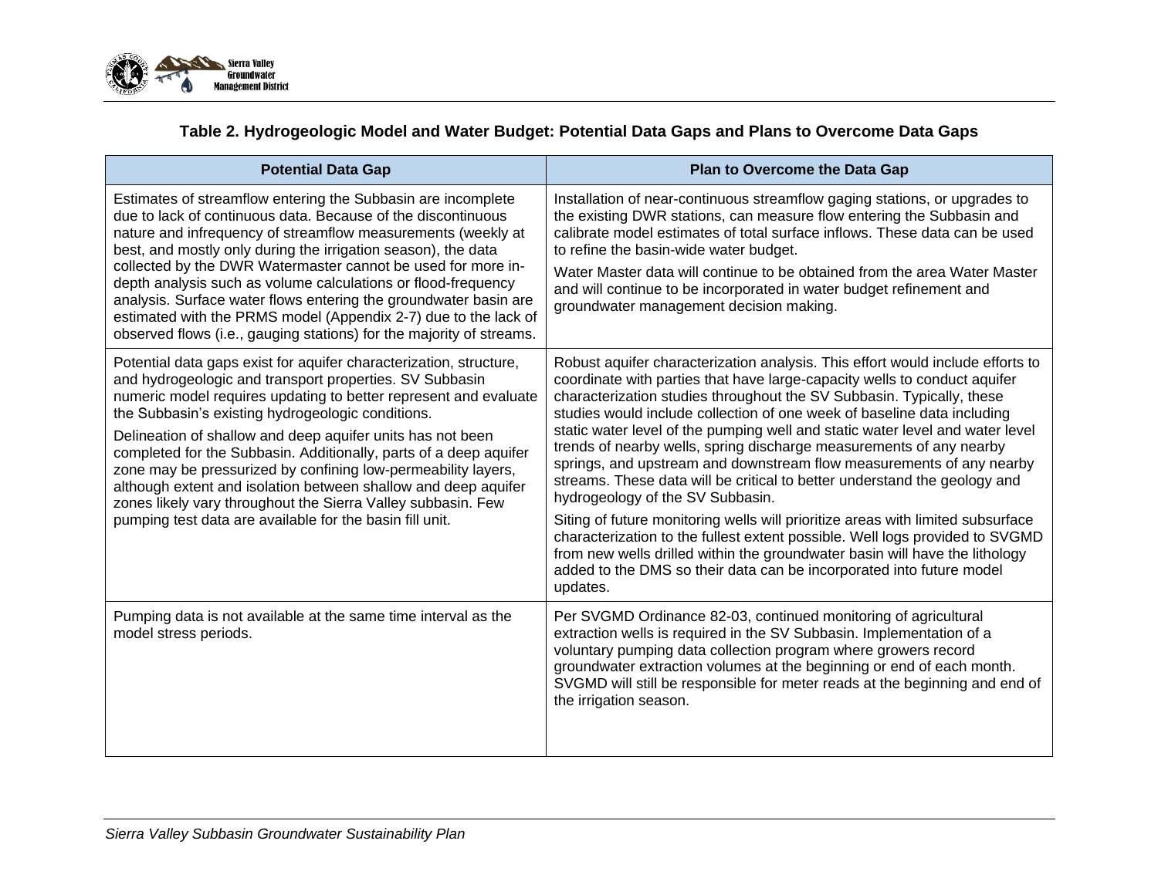

## **Table 2. Hydrogeologic Model and Water Budget: Potential Data Gaps and Plans to Overcome Data Gaps**

| <b>Potential Data Gap</b>                                                                                                                                                                                                                                                                                                                                                                                                                                                                                                                                                                                                                                | <b>Plan to Overcome the Data Gap</b>                                                                                                                                                                                                                                                                                                                                                                                                                                                                                                                                                                                                                                                                                                                                                                                                                                                                                                                                                                   |
|----------------------------------------------------------------------------------------------------------------------------------------------------------------------------------------------------------------------------------------------------------------------------------------------------------------------------------------------------------------------------------------------------------------------------------------------------------------------------------------------------------------------------------------------------------------------------------------------------------------------------------------------------------|--------------------------------------------------------------------------------------------------------------------------------------------------------------------------------------------------------------------------------------------------------------------------------------------------------------------------------------------------------------------------------------------------------------------------------------------------------------------------------------------------------------------------------------------------------------------------------------------------------------------------------------------------------------------------------------------------------------------------------------------------------------------------------------------------------------------------------------------------------------------------------------------------------------------------------------------------------------------------------------------------------|
| Estimates of streamflow entering the Subbasin are incomplete<br>due to lack of continuous data. Because of the discontinuous<br>nature and infrequency of streamflow measurements (weekly at<br>best, and mostly only during the irrigation season), the data<br>collected by the DWR Watermaster cannot be used for more in-<br>depth analysis such as volume calculations or flood-frequency<br>analysis. Surface water flows entering the groundwater basin are<br>estimated with the PRMS model (Appendix 2-7) due to the lack of<br>observed flows (i.e., gauging stations) for the majority of streams.                                            | Installation of near-continuous streamflow gaging stations, or upgrades to<br>the existing DWR stations, can measure flow entering the Subbasin and<br>calibrate model estimates of total surface inflows. These data can be used<br>to refine the basin-wide water budget.<br>Water Master data will continue to be obtained from the area Water Master<br>and will continue to be incorporated in water budget refinement and<br>groundwater management decision making.                                                                                                                                                                                                                                                                                                                                                                                                                                                                                                                             |
| Potential data gaps exist for aquifer characterization, structure,<br>and hydrogeologic and transport properties. SV Subbasin<br>numeric model requires updating to better represent and evaluate<br>the Subbasin's existing hydrogeologic conditions.<br>Delineation of shallow and deep aquifer units has not been<br>completed for the Subbasin. Additionally, parts of a deep aquifer<br>zone may be pressurized by confining low-permeability layers,<br>although extent and isolation between shallow and deep aquifer<br>zones likely vary throughout the Sierra Valley subbasin. Few<br>pumping test data are available for the basin fill unit. | Robust aquifer characterization analysis. This effort would include efforts to<br>coordinate with parties that have large-capacity wells to conduct aquifer<br>characterization studies throughout the SV Subbasin. Typically, these<br>studies would include collection of one week of baseline data including<br>static water level of the pumping well and static water level and water level<br>trends of nearby wells, spring discharge measurements of any nearby<br>springs, and upstream and downstream flow measurements of any nearby<br>streams. These data will be critical to better understand the geology and<br>hydrogeology of the SV Subbasin.<br>Siting of future monitoring wells will prioritize areas with limited subsurface<br>characterization to the fullest extent possible. Well logs provided to SVGMD<br>from new wells drilled within the groundwater basin will have the lithology<br>added to the DMS so their data can be incorporated into future model<br>updates. |
| Pumping data is not available at the same time interval as the<br>model stress periods.                                                                                                                                                                                                                                                                                                                                                                                                                                                                                                                                                                  | Per SVGMD Ordinance 82-03, continued monitoring of agricultural<br>extraction wells is required in the SV Subbasin. Implementation of a<br>voluntary pumping data collection program where growers record<br>groundwater extraction volumes at the beginning or end of each month.<br>SVGMD will still be responsible for meter reads at the beginning and end of<br>the irrigation season.                                                                                                                                                                                                                                                                                                                                                                                                                                                                                                                                                                                                            |